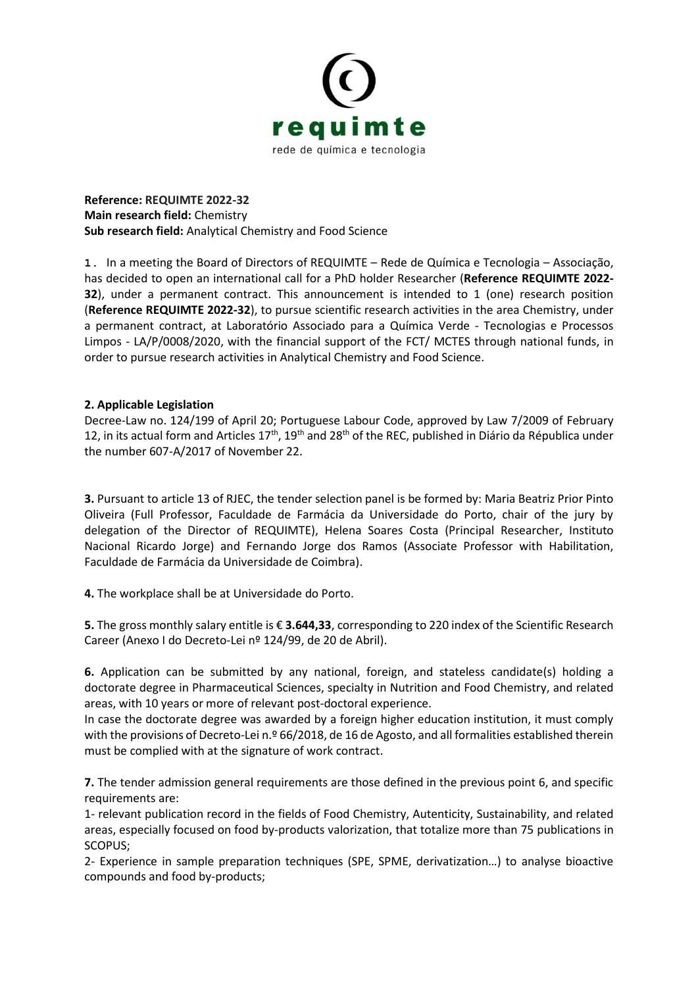

**Reference: REQUIMTE 2022-32 Main research field:** Chemistry **Sub research field:** Analytical Chemistry and Food Science

**1.** In a meeting the Board of Directors of REQUIMTE – Rede de Química e Tecnologia – Associação, has decided to open an international call for a PhD holder Researcher (**Reference REQUIMTE 2022- 32**), under a permanent contract. This announcement is intended to 1 (one) research position (**Reference REQUIMTE 2022-32**), to pursue scientific research activities in the area Chemistry, under a permanent contract, at Laboratório Associado para a Química Verde - Tecnologias e Processos Limpos - LA/P/0008/2020, with the financial support of the FCT/ MCTES through national funds, in order to pursue research activities in Analytical Chemistry and Food Science.

## **2. Applicable Legislation**

Decree-Law no. 124/199 of April 20; Portuguese Labour Code, approved by Law 7/2009 of February 12, in its actual form and Articles  $17<sup>th</sup>$ ,  $19<sup>th</sup>$  and  $28<sup>th</sup>$  of the REC, published in Diário da Républica under the number 607-A/2017 of November 22.

**3.** Pursuant to article 13 of RJEC, the tender selection panel is be formed by: Maria Beatriz Prior Pinto Oliveira (Full Professor, Faculdade de Farmácia da Universidade do Porto, chair of the jury by delegation of the Director of REQUIMTE), Helena Soares Costa (Principal Researcher, Instituto Nacional Ricardo Jorge) and Fernando Jorge dos Ramos (Associate Professor with Habilitation, Faculdade de Farmácia da Universidade de Coimbra).

**4.** The workplace shall be at Universidade do Porto.

**5.** The gross monthly salary entitle is € **3.644,33**, corresponding to 220 index of the Scientific Research Career (Anexo I do Decreto-Lei nº 124/99, de 20 de Abril).

**6.** Application can be submitted by any national, foreign, and stateless candidate(s) holding a doctorate degree in Pharmaceutical Sciences, specialty in Nutrition and Food Chemistry, and related areas, with 10 years or more of relevant post-doctoral experience.

In case the doctorate degree was awarded by a foreign higher education institution, it must comply with the provisions of Decreto-Lei n.º 66/2018, de 16 de Agosto, and all formalities established therein must be complied with at the signature of work contract.

**7.** The tender admission general requirements are those defined in the previous point 6, and specific requirements are:

1- relevant publication record in the fields of Food Chemistry, Autenticity, Sustainability, and related areas, especially focused on food by-products valorization, that totalize more than 75 publications in SCOPUS;

2- Experience in sample preparation techniques (SPE, SPME, derivatization…) to analyse bioactive compounds and food by-products;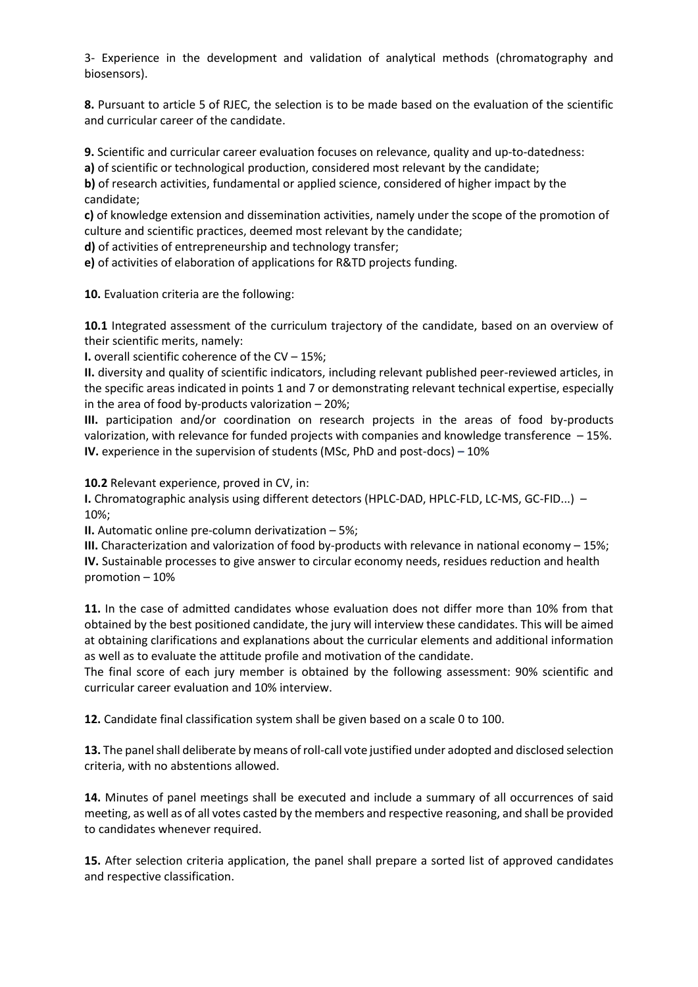3- Experience in the development and validation of analytical methods (chromatography and biosensors).

**8.** Pursuant to article 5 of RJEC, the selection is to be made based on the evaluation of the scientific and curricular career of the candidate.

**9.** Scientific and curricular career evaluation focuses on relevance, quality and up-to-datedness:

**a)** of scientific or technological production, considered most relevant by the candidate;

**b**) of research activities, fundamental or applied science, considered of higher impact by the candidate;

**c)** of knowledge extension and dissemination activities, namely under the scope of the promotion of culture and scientific practices, deemed most relevant by the candidate;

**d)** of activities of entrepreneurship and technology transfer;

**e)** of activities of elaboration of applications for R&TD projects funding.

**10.** Evaluation criteria are the following:

**10.1** Integrated assessment of the curriculum trajectory of the candidate, based on an overview of their scientific merits, namely:

**I.** overall scientific coherence of the CV – 15%;

**II.** diversity and quality of scientific indicators, including relevant published peer-reviewed articles, in the specific areas indicated in points 1 and 7 or demonstrating relevant technical expertise, especially in the area of food by-products valorization – 20%;

**III.** participation and/or coordination on research projects in the areas of food by-products valorization, with relevance for funded projects with companies and knowledge transference – 15%. **IV.** experience in the supervision of students (MSc, PhD and post-docs) **–** 10%

**10.2** Relevant experience, proved in CV, in:

**I.** Chromatographic analysis using different detectors (HPLC-DAD, HPLC-FLD, LC-MS, GC-FID...) – 10%;

**II.** Automatic online pre-column derivatization – 5%;

**III.** Characterization and valorization of food by-products with relevance in national economy – 15%; **IV.** Sustainable processes to give answer to circular economy needs, residues reduction and health promotion – 10%

**11.** In the case of admitted candidates whose evaluation does not differ more than 10% from that obtained by the best positioned candidate, the jury will interview these candidates. This will be aimed at obtaining clarifications and explanations about the curricular elements and additional information as well as to evaluate the attitude profile and motivation of the candidate.

The final score of each jury member is obtained by the following assessment: 90% scientific and curricular career evaluation and 10% interview.

**12.** Candidate final classification system shall be given based on a scale 0 to 100.

**13.** The panel shall deliberate by means of roll-call vote justified under adopted and disclosed selection criteria, with no abstentions allowed.

**14.** Minutes of panel meetings shall be executed and include a summary of all occurrences of said meeting, as well as of all votes casted by the members and respective reasoning, and shall be provided to candidates whenever required.

**15.** After selection criteria application, the panel shall prepare a sorted list of approved candidates and respective classification.